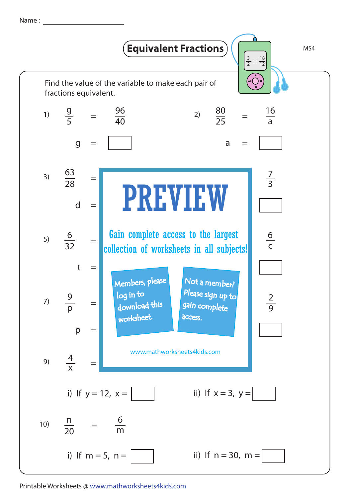Name : <u>\_\_\_\_\_</u>